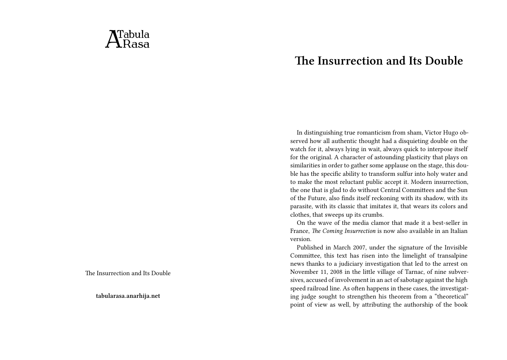## $\Delta$ Tabula

The Insurrection and Its Double

**tabularasa.anarhija.net**

## **The Insurrection and Its Double**

In distinguishing true romanticism from sham, Victor Hugo observed how all authentic thought had a disquieting double on the watch for it, always lying in wait, always quick to interpose itself for the original. A character of astounding plasticity that plays on similarities in order to gather some applause on the stage, this double has the specific ability to transform sulfur into holy water and to make the most reluctant public accept it. Modern insurrection, the one that is glad to do without Central Committees and the Sun of the Future, also finds itself reckoning with its shadow, with its parasite, with its classic that imitates it, that wears its colors and clothes, that sweeps up its crumbs.

On the wave of the media clamor that made it a best-seller in France, *The Coming Insurrection* is now also available in an Italian version.

Published in March 2007, under the signature of the Invisible Committee, this text has risen into the limelight of transalpine news thanks to a judiciary investigation that led to the arrest on November 11, 2008 in the little village of Tarnac, of nine subversives, accused of involvement in an act of sabotage against the high speed railroad line. As often happens in these cases, the investigating judge sought to strengthen his theorem from a "theoretical" point of view as well, by attributing the authorship of the book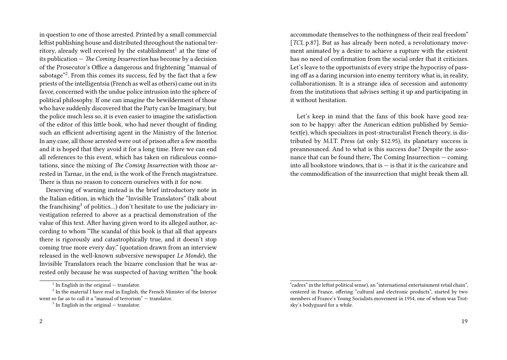in question to one of those arrested. Printed by a small commercial leftist publishing house and distributed throughout the national territory, already well received by the establishment $^1$  at the time of its publication — *The Coming Insurrection* has become by a decision of the Prosecutor's Office a dangerous and frightening "manual of sabotage"<sup>2</sup>. From this comes its success, fed by the fact that a few priests of the intelligentsia (French as well as others) came out in its favor, concerned with the undue police intrusion into the sphere of political philosophy. If one can imagine the bewilderment of those who have suddenly discovered that the Party can be Imaginary, but the police much less so, it is even easier to imagine the satisfaction of the editor of this little book, who had never thought of finding such an efficient advertising agent in the Ministry of the Interior. In any case, all those arrested were out of prison after a few months and it is hoped that they avoid it for a long time. Here we can end all references to this event, which has taken on ridiculous connotations, since the mixing of *The Coming Insurrection* with those arrested in Tarnac, in the end, is the work of the French magistrature. There is thus no reason to concern ourselves with it for now.

Deserving of warning instead is the brief introductory note in the Italian edition, in which the "Invisible Translators" (talk about the franchising<sup>3</sup> of politics...) don't hesitate to use the judiciary investigation referred to above as a practical demonstration of the value of this text. After having given word to its alleged author, according to whom "The scandal of this book is that all that appears there is rigorously and catastrophically true, and it doesn't stop coming true more every day." (quotation drawn from an interview released in the well-known subversive newspaper *Le Monde*), the Invisible Translators reach the bizarre conclusion that he was arrested only because he was suspected of having written "the book accommodate themselves to the nothingness of their real freedom" [*TCI*, p.87]. But as has already been noted, a revolutionary movement animated by a desire to achieve a rupture with the existent has no need of confirmation from the social order that it criticizes. Let's leave to the opportunists of every stripe the hypocrisy of passing off as a daring incursion into enemy territory what is, in reality, collaborationism. It is a strange idea of secession and autonomy from the institutions that advises setting it up and participating in it without hesitation.

Let's keep in mind that the fans of this book have good reason to be happy: after the American edition published by Semiotext(e), which specializes in post-structuralist French theory, is distributed by M.I.T. Press (at only \$12.95), its planetary success is preannounced. And to what is this success due? Despite the assonance that can be found there, The Coming Insurrection — coming into all bookstore windows, that is  $-$  is that it is the caricature and the commodification of the insurrection that might break them all.

 $1$  In English in the original  $-$  translator.

 $2^2$  In the material I have read in English, the French Minister of the Interior went so far as to call it a "manual of terrorism" — translator.

 $3$  In English in the original  $-$  translator.

<sup>&</sup>quot;cadres" in the leftist political sense), an "international entertainment retail chain", centered in France, offering "cultural and electronic products", started by two members of France's Young Socialists movement in 1954, one of whom was Trotsky's bodyguard for a while.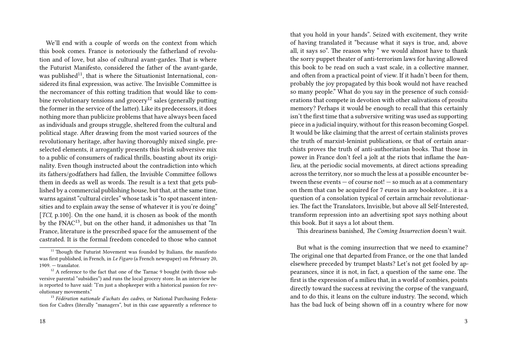We'll end with a couple of words on the context from which this book comes. France is notoriously the fatherland of revolution and of love, but also of cultural avant-gardes. That is where the Futurist Manifesto, considered the father of the avant-garde, was published<sup>11</sup>, that is where the Situationist International, considered its final expression, was active. The Invisible Committee is the necromancer of this rotting tradition that would like to combine revolutionary tensions and grocery<sup>12</sup> sales (generally putting the former in the service of the latter). Like its predecessors, it does nothing more than publicize problems that have always been faced as individuals and groups struggle, sheltered from the cultural and political stage. After drawing from the most varied sources of the revolutionary heritage, after having thoroughly mixed single, preselected elements, it arrogantly presents this brisk subversive mix to a public of consumers of radical thrills, boasting about its originality. Even though instructed about the contradiction into which its fathers/godfathers had fallen, the Invisible Committee follows them in deeds as well as words. The result is a text that gets published by a commercial publishing house, but that, at the same time, warns against "cultural circles" whose task is "to spot nascent intensities and to explain away the sense of whatever it is you're doing" [*TCI*, p.100]. On the one hand, it is chosen as book of the month by the FNAC13, but on the other hand, it admonishes us that "In France, literature is the prescribed space for the amusement of the castrated. It is the formal freedom conceded to those who cannot

that you hold in your hands". Seized with excitement, they write of having translated it "because what it says is true, and, above all, it says so". The reason why " we would almost have to thank the sorry puppet theater of anti-terrorism laws for having allowed this book to be read on such a vast scale, in a collective manner, and often from a practical point of view. If it hadn't been for them, probably the joy propagated by this book would not have reached so many people." What do you say in the presence of such considerations that compete in devotion with other salivations of prositu memory? Perhaps it would be enough to recall that this certainly isn't the first time that a subversive writing was used as supporting piece in a judicial inquiry, without for this reason becoming Gospel. It would be like claiming that the arrest of certain stalinists proves the truth of marxist-leninist publications, or that of certain anarchists proves the truth of anti-authoritarian books. That those in power in France don't feel a jolt at the riots that inflame the *banlieu*, at the periodic social movements, at direct actions spreading across the territory, nor so much the less at a possible encounter between these events — of course not! — so much as at a commentary on them that can be acquired for 7 euros in any bookstore… it is a question of a consolation typical of certain armchair revolutionaries. The fact the Translators, Invisible, but above all Self-Interested, transform repression into an advertising spot says nothing about this book. But it says a lot about them.

This dreariness banished, *The Coming Insurrection* doesn't wait.

But what is the coming insurrection that we need to examine? The original one that departed from France, or the one that landed elsewhere preceded by trumpet blasts? Let's not get fooled by appearances, since it is not, in fact, a question of the same one. The first is the expression of a milieu that, in a world of zombies, points directly toward the success at reviving the corpse of the vanguard, and to do this, it leans on the culture industry. The second, which has the bad luck of being shown off in a country where for now

 $11$  Though the Futurist Movement was founded by Italians, the manifesto was first published, in French, in *Le Figaro* (a French newspaper) on February 20,  $1909$  — translator.

 $12$  A reference to the fact that one of the Tarnac 9 bought (with those subversive parental "subsidies") and runs the local grocery store. In an interview he is reported to have said: "I'm just a shopkeeper with a historical passion for revolutionary movements."

<sup>13</sup> *Fédération nationale d'achats des cadres*, or National Purchasing Federation for Cadres (literally "managers", but in this case apparently a reference to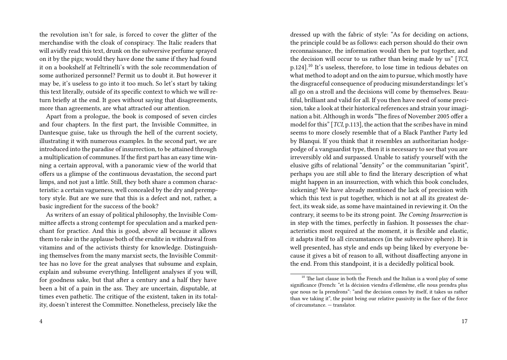the revolution isn't for sale, is forced to cover the glitter of the merchandise with the cloak of conspiracy. The Italic readers that will avidly read this text, drunk on the subversive perfume sprayed on it by the pigs; would they have done the same if they had found it on a bookshelf at Feltrinelli's with the sole recommendation of some authorized personnel? Permit us to doubt it. But however it may be, it's useless to go into it too much. So let's start by taking this text literally, outside of its specific context to which we will return briefly at the end. It goes without saying that disagreements, more than agreements, are what attracted our attention.

Apart from a prologue, the book is composed of seven circles and four chapters. In the first part, the Invisible Committee, in Dantesque guise, take us through the hell of the current society, illustrating it with numerous examples. In the second part, we are introduced into the paradise of insurrection, to be attained through a multiplication of communes. If the first part has an easy time winning a certain approval, with a panoramic view of the world that offers us a glimpse of the continuous devastation, the second part limps, and not just a little. Still, they both share a common characteristic: a certain vagueness, well concealed by the dry and peremptory style. But are we sure that this is a defect and not, rather, a basic ingredient for the success of the book?

As writers of an essay of political philosophy, the Invisible Committee affects a strong contempt for speculation and a marked penchant for practice. And this is good, above all because it allows them to rake in the applause both of the erudite in withdrawal from vitamins and of the activists thirsty for knowledge. Distinguishing themselves from the many marxist sects, the Invisible Committee has no love for the great analyses that subsume and explain, explain and subsume everything. Intelligent analyses if you will, for goodness sake, but that after a century and a half they have been a bit of a pain in the ass. They are uncertain, disputable, at times even pathetic. The critique of the existent, taken in its totality, doesn't interest the Committee. Nonetheless, precisely like the

dressed up with the fabric of style: "As for deciding on actions, the principle could be as follows: each person should do their own reconnaissance, the information would then be put together, and the decision will occur to us rather than being made by us" [*TCI*, p.124].<sup>10</sup> It's useless, therefore, to lose time in tedious debates on what method to adopt and on the aim to pursue, which mostly have the disgraceful consequence of producing misunderstandings: let's all go on a stroll and the decisions will come by themselves. Beautiful, brilliant and valid for all. If you then have need of some precision, take a look at their historical references and strain your imagination a bit. Although in words "The fires of November 2005 offer a model for this" [*TCI*, p.113], the action that the scribes have in mind seems to more closely resemble that of a Black Panther Party led by Blanqui. If you think that it resembles an authoritarian hodgepodge of a vanguardist type, then it is necessary to see that you are irreversibly old and surpassed. Unable to satisfy yourself with the elusive gifts of relational "density" or the communitarian "spirit", perhaps you are still able to find the literary description of what might happen in an insurrection, with which this book concludes, sickening! We have already mentioned the lack of precision with which this text is put together, which is not at all its greatest defect, its weak side, as some have maintained in reviewing it. On the contrary, it seems to be its strong point. *The Coming Insurrection* is in step with the times, perfectly in fashion. It possesses the characteristics most required at the moment, it is flexible and elastic, it adapts itself to all circumstances (in the subversive sphere). It is well presented, has style and ends up being liked by everyone because it gives a bit of reason to all, without disaffecting anyone in the end. From this standpoint, it is a decidedly political book.

 $10$  The last clause in both the French and the Italian is a word play of some significance (French: "et la décision viendra d'ellemême, elle nous prendra plus que nous ne la prendrons": "and the decision comes by itself, it takes us rather than we taking it", the point being our relative passivity in the face of the force of circumstance. — translator.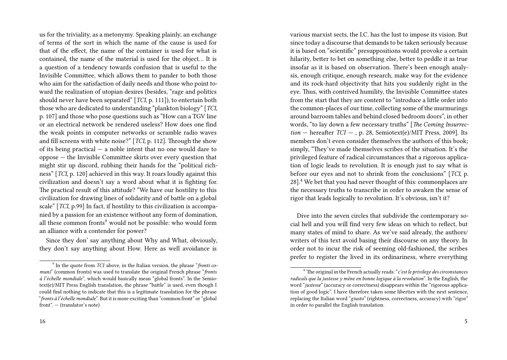us for the triviality, as a metonymy. Speaking plainly, an exchange of terms of the sort in which the name of the cause is used for that of the effect, the name of the container is used for what is contained, the name of the material is used for the object… It is a question of a tendency towards confusion that is useful to the Invisible Committee, which allows them to pander to both those who aim for the satisfaction of daily needs and those who point toward the realization of utopian desires (besides, "rage and politics should never have been separated" [*TCI*, p. 111]), to entertain both those who are dedicated to understanding "plankton biology" [*TCI*, p. 107] and those who pose questions such as "How can a TGV line or an electrical network be rendered useless? How does one find the weak points in computer networks or scramble radio waves and fill screens with white noise?" [*TCI*, p. 112]. Through the show of its being practical — a noble intent that no one would dare to oppose — the Invisible Committee skirts over every question that might stir up discord, rubbing their hands for the "political richness" [*TCI*, p. 120] achieved in this way. It roars loudly against this civilization and doesn't say a word about what it is fighting for. The practical result of this attitude? "We have our hostility to this civilization for drawing lines of solidarity and of battle on a global scale" [*TCI*, p.99] In fact, if hostility to this civilization is accompanied by a passion for an existence without any form of domination, all these common fronts<sup>9</sup> would not be possible: who would form an alliance with a contender for power?

Since they don' say anything about Why and What, obviously, they don't say anything about How. Here as well avoidance is various marxist sects, the I.C. has the lust to impose its vision. But since today a discourse that demands to be taken seriously because it is based on "scientific" presuppositions would provoke a certain hilarity, better to bet on something else, better to peddle it as true insofar as it is based on observation. There's been enough analysis, enough critique, enough research, make way for the evidence and its rock-hard objectivity that hits you suddenly right in the eye. Thus, with contrived humility, the Invisible Committee states from the start that they are content to "introduce a little order into the common-places of our time, collecting some of the murmurings around barroom tables and behind closed bedroom doors", in other words, "to lay down a few necessary truths" [*The Coming Insurrec* $tion - hereafter TCI -$ , p. 28, Semiotext(e)/MIT Press, 2009]. Its members don't even consider themselves the authors of this book; simply, "They've made themselves scribes of the situation. It's the privileged feature of radical circumstances that a rigorous application of logic leads to revolution. It is enough just to say what is before our eyes and not to shrink from the conclusions" [*TCI*, p.  $28$ <sup>1</sup>.<sup>4</sup> We bet that you had never thought of this: commonplaces are the necessary truths to transcribe in order to awaken the sense of rigor that leads logically to revolution. It's obvious, isn't it?

Dive into the seven circles that subdivide the contemporary social hell and you will find very few ideas on which to reflect, but many states of mind to share. As we've said already, the authors/ writers of this text avoid basing their discourse on any theory. In order not to incur the risk of seeming old-fashioned, the scribes prefer to register the lived in its ordinariness, where everything

<sup>9</sup> In the quote from *TCI* above, in the Italian version, the phrase "*fronti comuni*" (common fronts) was used to translate the original French phrase "*fronts à l'échelle mondiale*", which would basically mean "global fronts". In the Semiotext(e)/MIT Press English translation, the phrase "battle" is used, even though I could find nothing to indicate that this is a legitimate translation for the phrase "*fronts à l'échelle mondiale*". But it is more exciting than "common front" or "global front". — (translator's note)

<sup>4</sup> The original in the French actually reads: "*c'est le privilege des circonstances radicals que la justesse y mène en bonne logique à la revolution*". In the English, the word "*justesse*" (accuracy or correctness) disappears within the "rigorous application of good logic". I have therefore taken some liberties with the next sentence, replacing the Italian word "*giusto*" (rightness, correctness, accuracy) with "rigor" in order to parallel the English translation.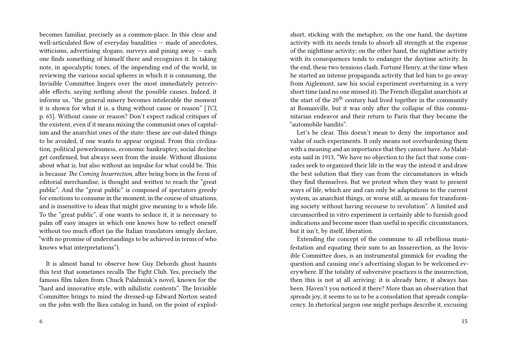becomes familiar, precisely as a common-place. In this clear and well-articulated flow of everyday banalities — made of anecdotes, witticisms, advertising slogans, surveys and pining away  $-$  each one finds something of himself there and recognizes it. In taking note, in apocalyptic tones, of the impending end of the world, in reviewing the various social spheres in which it is consuming, the Invisible Committee lingers over the most immediately perceivable effects, saying nothing about the possible causes. Indeed, it informs us, "the general misery becomes intolerable the moment it is shown for what it is, a thing without cause or reason" [*TCI*, p. 65]. Without cause or reason? Don't expect radical critiques of the existent, even if it means mixing the communist ones of capitalism and the anarchist ones of the state: these are out-dated things to be avoided, if one wants to appear original. From this civilization, political powerlessness, economic bankruptcy, social decline get confirmed, but always seen from the inside. Without illusions about what is, but also without an impulse for what could be. This is because *The Coming Insurrection*, after being born in the form of editorial merchandise, is thought and written to reach the "great public". And the "great public" is composed of spectators greedy for emotions to consume in the moment, in the course of situations, and is insensitive to ideas that might give meaning to a whole life. To the "great public", if one wants to seduce it, it is necessary to palm off easy images in which one knows how to reflect oneself without too much effort (as the Italian translators smugly declare, "with no promise of understandings to be achieved in terms of who knows what interpretations").

It is almost banal to observe how Guy Debords ghost haunts this text that sometimes recalls The Fight Club. Yes, precisely the famous film taken from Chuck Palahniuk's novel, known for the "hard and innovative style, with nihilistic contents". The Invisible Committee brings to mind the dressed-up Edward Norton seated on the john with the Ikea catalog in hand, on the point of explodshort, sticking with the metaphor, on the one hand, the daytime activity with its needs tends to absorb all strength at the expense of the nighttime activity; on the other hand, the nighttime activity with its consequences tends to endanger the daytime activity. In the end, these two tensions clash. Fortuné Henry, at the time when he started an intense propaganda activity that led him to go away from Aiglemont, saw his social experiment overturning in a very short time (and no one missed it). The French illegalist anarchists at the start of the  $20<sup>th</sup>$  century had lived together in the community at Romanville, but it was only after the collapse of this communitarian endeavor and their return to Paris that they became the "automobile bandits".

Let's be clear. This doesn't mean to deny the importance and value of such experiments. It only means not overburdening them with a meaning and an importance that they cannot have. As Malatesta said in 1913, "We have no objection to the fact that some comrades seek to organized their life in the way the intend it and draw the best solution that they can from the circumstances in which they find themselves. But we protest when they want to present ways of life, which are and can only be adaptations to the current system, as anarchist things, or worse still, as means for transforming society without having recourse to revolution". A limited and circumscribed in vitro experiment is certainly able to furnish good indications and become more than useful in specific circumstances, but it isn't, by itself, liberation.

Extending the concept of the commune to all rebellious manifestation and equating their sum to an Insurrection, as the Invisible Committee does, is an instrumental gimmick for evading the question and causing one's advertising slogan to be welcomed everywhere. If the totality of subversive practices is the insurrection, then this is not at all arriving: it is already here, it always has been. Haven't you noticed it there? More than an observation that spreads joy, it seems to us to be a consolation that spreads complacency. In rhetorical jargon one might perhaps describe it, excusing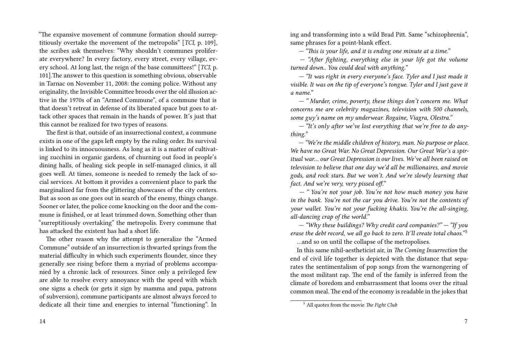"The expansive movement of commune formation should surreptitiously overtake the movement of the metropolis" [*TCI*, p. 109], the scribes ask themselves: "Why shouldn't communes proliferate everywhere? In every factory, every street, every village, every school. At long last, the reign of the base committees!" [*TCI*, p. 101].The answer to this question is something obvious, observable in Tarnac on November 11, 2008: the coming police. Without any originality, the Invisible Committee broods over the old illusion active in the 1970s of an "Armed Commune", of a commune that is that doesn't retreat in defense of its liberated space but goes to attack other spaces that remain in the hands of power. It's just that this cannot be realized for two types of reasons.

The first is that, outside of an insurrectional context, a commune exists in one of the gaps left empty by the ruling order. Its survival is linked to its innocuousness. As long as it is a matter of cultivating zucchini in organic gardens, of churning out food in people's dining halls, of healing sick people in self-managed clinics, it all goes well. At times, someone is needed to remedy the lack of social services. At bottom it provides a convenient place to park the marginalized far from the glittering showcases of the city centers. But as soon as one goes out in search of the enemy, things change. Sooner or later, the police come knocking on the door and the commune is finished, or at least trimmed down. Something other than "surreptitiously overtaking" the metropolis. Every commune that has attacked the existent has had a short life.

The other reason why the attempt to generalize the "Armed Commune" outside of an insurrection is thwarted springs from the material difficulty in which such experiments flounder, since they generally see rising before them a myriad of problems accompanied by a chronic lack of resources. Since only a privileged few are able to resolve every annoyance with the speed with which one signs a check (or gets it sign by mamma and papa, patrons of subversion), commune participants are almost always forced to dedicate all their time and energies to internal "functioning". In

14

ing and transforming into a wild Brad Pitt. Same "schizophrenia", same phrases for a point-blank effect.

*— "This is your life, and it is ending one minute at a time."*

*— "After fighting, everything else in your life got the volume turned down.. You could deal with anything."*

*— "It was right in every everyone's face. Tyler and I just made it visible. It was on the tip of everyone's tongue. Tyler and I just gave it a name."*

*— " Murder, crime, poverty, these things don't concern me. What concerns me are celebrity magazines, television with 500 channels, some guy's name on my underwear. Rogaine, Viagra, Olestra."*

*— "It's only after we've lost everything that we're free to do anything."*

*— "We're the middle children of history, man. No purpose or place. We have no Great War. No Great Depression. Our Great War's a spiritual war… our Great Depression is our lives. We've all been raised on television to believe that one day we'd all be millionaires, and movie gods, and rock stars. But we won't. And we're slowly learning that fact. And we're very, very pissed off."*

*— " You're not your job. You're not how much money you have in the bank. You're not the car you drive. You're not the contents of your wallet. You're not your fucking khakis. You're the all-singing, all-dancing crap of the world."*

*— "Why these buildings? Why credit card companies?" — "If you erase the debt record, we all go back to zero. It'll create total chaos.*"<sup>5</sup> …and so on until the collapse of the metropolises.

In this same nihil-aestheticist air, in *The Coming Insurrection* the end of civil life together is depicted with the distance that separates the sentimentalism of pop songs from the warnongering of the most militant rap. The end of the family is inferred from the climate of boredom and embarrassment that looms over the ritual common meal. The end of the economy is readable in the jokes that

<sup>5</sup> All quotes from the movie *The Fight Club*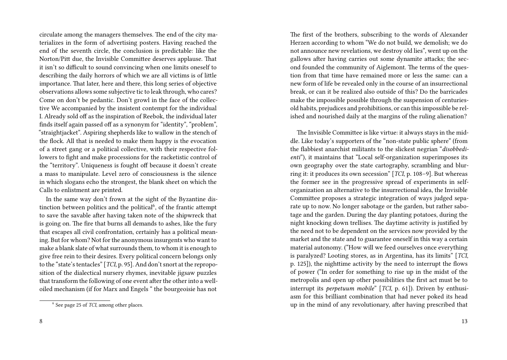circulate among the managers themselves. The end of the city materializes in the form of advertising posters. Having reached the end of the seventh circle, the conclusion is predictable: like the Norton/Pitt due, the Invisible Committee deserves applause. That it isn't so difficult to sound convincing when one limits oneself to describing the daily horrors of which we are all victims is of little importance. That later, here and there, this long series of objective observations allows some subjective tic to leak through, who cares? Come on don't be pedantic. Don't growl in the face of the collective We accompanied by the insistent contempt for the individual I. Already sold off as the inspiration of Reebok, the individual later finds itself again passed off as a synonym for "identity", "problem", "straightjacket". Aspiring shepherds like to wallow in the stench of the flock. All that is needed to make them happy is the evocation of a street gang or a political collective, with their respective followers to fight and make processions for the racketistic control of the "territory". Uniqueness is fought off because it doesn't create a mass to manipulate. Level zero of consciousness is the silence in which slogans echo the strongest, the blank sheet on which the Calls to enlistment are printed.

In the same way don't frown at the sight of the Byzantine distinction between politics and the political<sup>6</sup>, of the frantic attempt to save the savable after having taken note of the shipwreck that is going on. The fire that burns all demands to ashes, like the fury that escapes all civil confrontation, certainly has a political meaning. But for whom? Not for the anonymous insurgents who want to make a blank slate of what surrounds them, to whom it is enough to give free rein to their desires. Every political concern belongs only to the "state's tentacles" [*TCI*, p. 95]. And don't snort at the reproposition of the dialectical nursery rhymes, inevitable jigsaw puzzles that transform the following of one event after the other into a welloiled mechanism (if for Marx and Engels " the bourgeoisie has not The first of the brothers, subscribing to the words of Alexander Herzen according to whom "We do not build, we demolish; we do not announce new revelations, we destroy old lies", went up on the gallows after having carries out some dynamite attacks; the second founded the community of Aiglemont. The terms of the question from that time have remained more or less the same: can a new form of life be revealed only in the course of an insurrectional break, or can it be realized also outside of this? Do the barricades make the impossible possible through the suspension of centuriesold habits, prejudices and prohibitions, or can this impossible be relished and nourished daily at the margins of the ruling alienation?

The Invisible Committee is like virtue: it always stays in the middle. Like today's supporters of the "non-state public sphere" (from the flabbiest anarchist militants to the slickest negrian "*disobbedienti*"), it maintains that "Local self-organization superimposes its own geography over the state cartography, scrambling and blurring it: it produces its own secession" [*TCI*, p. 108–9]. But whereas the former see in the progressive spread of experiments in selforganization an alternative to the insurrectional idea, the Invisible Committee proposes a strategic integration of ways judged separate up to now. No longer sabotage or the garden, but rather sabotage and the garden. During the day planting potatoes, during the night knocking down trellises. The daytime activity is justified by the need not to be dependent on the services now provided by the market and the state and to guarantee oneself in this way a certain material autonomy. ("How will we feed ourselves once everything is paralyzed? Looting stores, as in Argentina, has its limits" [*TCI*, p. 125]), the nighttime activity by the need to interrupt the flows of power ("In order for something to rise up in the midst of the metropolis and open up other possibilities the first act must be to interrupt its *perpetuum mobile*" [*TCI*, p. 61]). Driven by enthusiasm for this brilliant combination that had never poked its head up in the mind of any revolutionary, after having prescribed that

<sup>6</sup> See page 25 of *TCI*, among other places.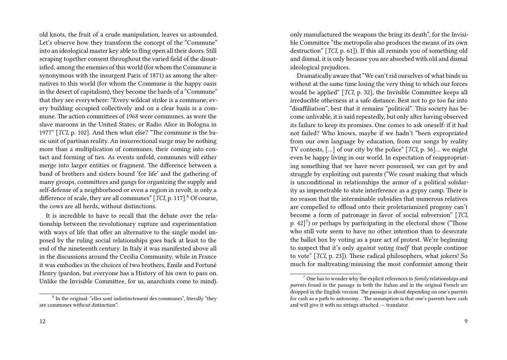old knots, the fruit of a crude manipulation, leaves us astounded. Let's observe how they transform the concept of the "Commune" into an ideological master key able to fling open all their doors. Still scraping together consent throughout the varied field of the dissatisfied, among the enemies of this world (for whom the Commune is synonymous with the insurgent Paris of 1871) as among the alternatives to this world (for whom the Commune is the happy oasis in the desert of capitalism), they become the bards of a "Commune" that they see everywhere: "Every wildcat strike is a commune; every building occupied collectively and on a clear basis is a commune. The action committees of 1968 were communes, as were the slave maroons in the United States, or Radio Alice in Bologna in 1977" [*TCI*, p. 102]. And then what else? "The commune is the basic unit of partisan reality. An insurrectional surge may be nothing more than a multiplication of communes, their coming into contact and forming of ties. As events unfold, communes will either merge into larger entities or fragment. The difference between a band of brothers and sisters bound 'for life' and the gathering of many groups, committees and gangs for organizing the supply and self-defense of a neighborhood or even a region in revolt, is only a difference of scale, they are all communes" [*TCI*, p. 117].<sup>8</sup> Of course, the cows are all herds, without distinctions.

It is incredible to have to recall that the debate over the relationship between the revolutionary rupture and experimentation with ways of life that offer an alternative to the single model imposed by the ruling social relationships goes back at least to the end of the nineteenth century. In Italy it was manifested above all in the discussions around the Cecilia Community, while in France it was embodies in the choices of two brothers, Emile and Fortuné Henry (pardon, but everyone has a History of his own to pass on. Unlike the Invisible Committee, for us, anarchists come to mind).

<sup>8</sup> In the original: "elles sont indistinctement des communes", literally "they are communes without distinction".

only manufactured the weapons the bring its death", for the Invisible Committee "the metropolis also produces the means of its own destruction" [*TCI*, p. 61]). If this all reminds you of something old and dismal, it is only because you are absorbed with old and dismal ideological prejudices.

Dramatically aware that "We can't rid ourselves of what binds us without at the same time losing the very thing to which our forces would be applied" [*TCI*, p. 32], the Invisible Committee keeps all irreducible otherness at a safe distance. Best not to go too far into "disaffiliation", best that it remains "political". This society has become unlivable, it is said repeatedly, but only after having observed its failure to keep its promises. One comes to ask oneself: if it had not failed? Who knows, maybe if we hadn't "been expropriated from our own language by education, from our songs by reality TV contests, […] of our city by the police" [*TCI*, p. 36]… we might even be happy living in our world. In expectation of reappropriating something that we have never possessed, we can get by and struggle by exploiting out parents ("We count making that which is unconditional in relationships the armor of a political solidarity as impenetrable to state interference as a gypsy camp. There is no reason that the interminable subsidies that numerous relatives are compelled to offload onto their proletarianized progeny can't become a form of patronage in favor of social subversion" [*TCI*, p.  $42$ ]<sup>7</sup>) or perhaps by participating in the electoral show ("Those who still vote seem to have no other intention than to desecrate the ballot box by voting as a pure act of protest. We're beginning to suspect that it's only *against voting itself* that people continue to vote" [*TCI*, p. 23]). These radical philosophers, what jokers! So much for maltreating/misusing the most conformist among their

<sup>7</sup> One has to wonder why the explicit references to *family* relationships and *parents* found in the passage in both the Italian and in the original French are dropped in the English version. The passage is about depending on one's parents for cash as a path to autonomy… The assumption is that one's parents have cash and will give it with no strings attached. — translator.